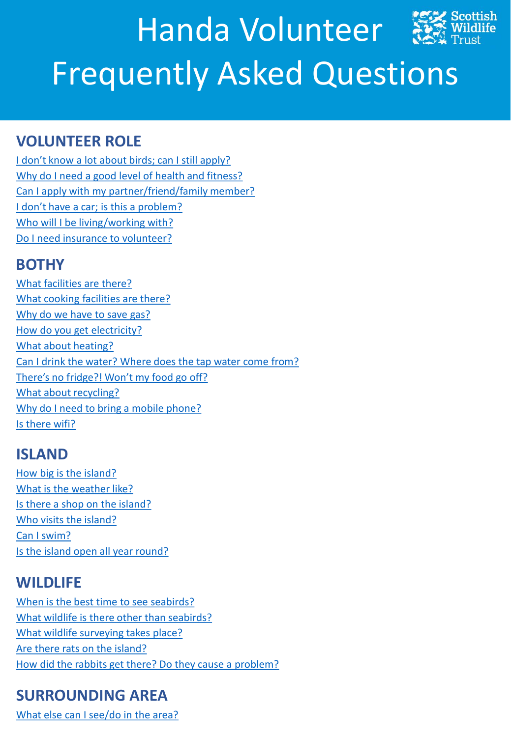# <span id="page-0-0"></span>**VOLUNTEER ROLE**

[I don't know a lot about birds; can I still apply?](#page-1-0) [Why do I need a good level of health and fitness?](#page-1-0) [Can I apply with my partner/friend/family member?](#page-1-0) [I don't have a car; is this a problem?](#page-1-0) [Who will I be living/working with?](#page-1-0) [Do I need insurance to volunteer?](#page-1-0)

# **BOTHY**

[What facilities are there?](#page-1-0) [What cooking facilities are there?](#page-1-0) [Why do we have to save gas?](#page-2-0) [How do you get electricity?](#page-2-0) [What about heating?](#page-2-0) [Can I drink the water? Where does the tap water come from?](#page-2-0) [There's no fridge?! Won't my food go off?](#page-2-0) [What about recycling?](#page-2-0) [Why do I need to bring a mobile phone?](#page-2-0) [Is there wifi?](#page-2-0)

# **ISLAND**

[How big is the island?](#page-3-0) [What is the weather like?](#page-3-0) [Is there a shop on the island?](#page-3-0) [Who visits the island?](#page-3-0) [Can I swim?](#page-3-0) Is the island open all year [round?](#page-3-0)

# **WILDLIFE**

[When is the best time to see seabirds?](#page-3-0) [What wildlife is there other than seabirds?](#page-3-0) [What wildlife surveying takes place?](#page-4-0) [Are there rats on the island?](#page-4-0) [How did the rabbits get there? Do they cause a problem?](#page-4-0)

# **SURROUNDING AREA**

[What else can I see/do in the area?](#page-4-0)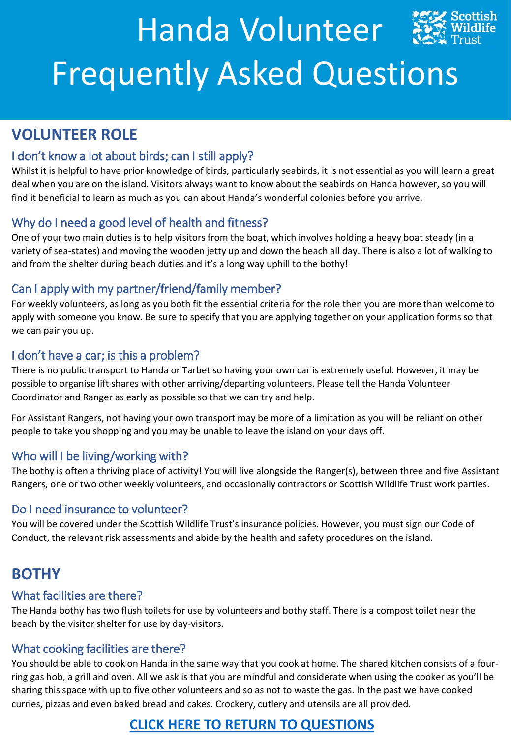# <span id="page-1-0"></span>**VOLUNTEER ROLE**

## I don't know a lot about birds; can I still apply?

Whilst it is helpful to have prior knowledge of birds, particularly seabirds, it is not essential as you will learn a great deal when you are on the island. Visitors always want to know about the seabirds on Handa however, so you will find it beneficial to learn as much as you can about Handa's wonderful colonies before you arrive.

## Why do I need a good level of health and fitness?

One of your two main duties is to help visitors from the boat, which involves holding a heavy boat steady (in a variety of sea-states) and moving the wooden jetty up and down the beach all day. There is also a lot of walking to and from the shelter during beach duties and it's a long way uphill to the bothy!

## Can I apply with my partner/friend/family member?

For weekly volunteers, as long as you both fit the essential criteria for the role then you are more than welcome to apply with someone you know. Be sure to specify that you are applying together on your application forms so that we can pair you up.

## I don't have a car; is this a problem?

There is no public transport to Handa or Tarbet so having your own car is extremely useful. However, it may be possible to organise lift shares with other arriving/departing volunteers. Please tell the Handa Volunteer Coordinator and Ranger as early as possible so that we can try and help.

For Assistant Rangers, not having your own transport may be more of a limitation as you will be reliant on other people to take you shopping and you may be unable to leave the island on your days off.

## Who will I be living/working with?

The bothy is often a thriving place of activity! You will live alongside the Ranger(s), between three and five Assistant Rangers, one or two other weekly volunteers, and occasionally contractors or Scottish Wildlife Trust work parties.

## Do I need insurance to volunteer?

You will be covered under the Scottish Wildlife Trust's insurance policies. However, you must sign our Code of Conduct, the relevant risk assessments and abide by the health and safety procedures on the island.

# **BOTHY**

## What facilities are there?

The Handa bothy has two flush toilets for use by volunteers and bothy staff. There is a compost toilet near the beach by the visitor shelter for use by day-visitors.

## What cooking facilities are there?

You should be able to cook on Handa in the same way that you cook at home. The shared kitchen consists of a fourring gas hob, a grill and oven. All we ask is that you are mindful and considerate when using the cooker as you'll be sharing this space with up to five other volunteers and so as not to waste the gas. In the past we have cooked curries, pizzas and even baked bread and cakes. Crockery, cutlery and utensils are all provided.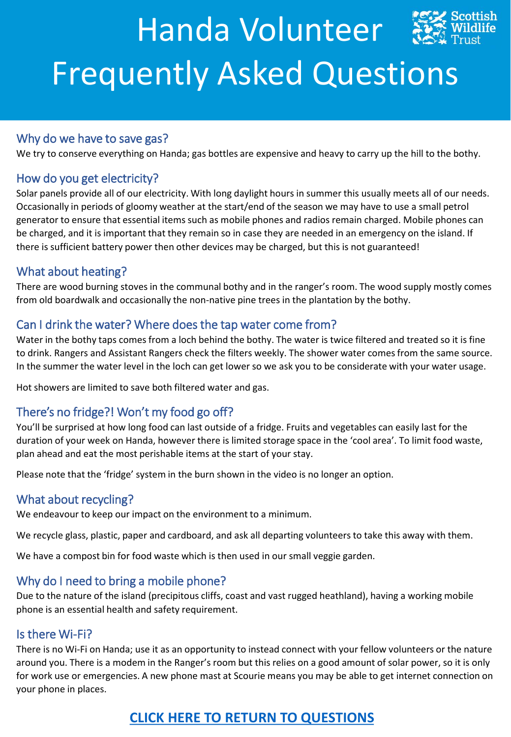#### <span id="page-2-0"></span>Why do we have to save gas?

We try to conserve everything on Handa; gas bottles are expensive and heavy to carry up the hill to the bothy.

#### How do you get electricity?

Solar panels provide all of our electricity. With long daylight hours in summer this usually meets all of our needs. Occasionally in periods of gloomy weather at the start/end of the season we may have to use a small petrol generator to ensure that essential items such as mobile phones and radios remain charged. Mobile phones can be charged, and it is important that they remain so in case they are needed in an emergency on the island. If there is sufficient battery power then other devices may be charged, but this is not guaranteed!

#### What about heating?

There are wood burning stoves in the communal bothy and in the ranger's room. The wood supply mostly comes from old boardwalk and occasionally the non-native pine trees in the plantation by the bothy.

#### Can I drink the water? Where does the tap water come from?

Water in the bothy taps comes from a loch behind the bothy. The water is twice filtered and treated so it is fine to drink. Rangers and Assistant Rangers check the filters weekly. The shower water comes from the same source. In the summer the water level in the loch can get lower so we ask you to be considerate with your water usage.

Hot showers are limited to save both filtered water and gas.

## There's no fridge?! Won't my food go off?

You'll be surprised at how long food can last outside of a fridge. Fruits and vegetables can easily last for the duration of your week on Handa, however there is limited storage space in the 'cool area'. To limit food waste, plan ahead and eat the most perishable items at the start of your stay.

Please note that the 'fridge' system in the burn shown in the video is no longer an option.

#### What about recycling?

We endeavour to keep our impact on the environment to a minimum.

We recycle glass, plastic, paper and cardboard, and ask all departing volunteers to take this away with them.

We have a compost bin for food waste which is then used in our small veggie garden.

## Why do I need to bring a mobile phone?

Due to the nature of the island (precipitous cliffs, coast and vast rugged heathland), having a working mobile phone is an essential health and safety requirement.

#### Is there Wi-Fi?

There is no Wi-Fi on Handa; use it as an opportunity to instead connect with your fellow volunteers or the nature around you. There is a modem in the Ranger's room but this relies on a good amount of solar power, so it is only for work use or emergencies. A new phone mast at Scourie means you may be able to get internet connection on your phone in places.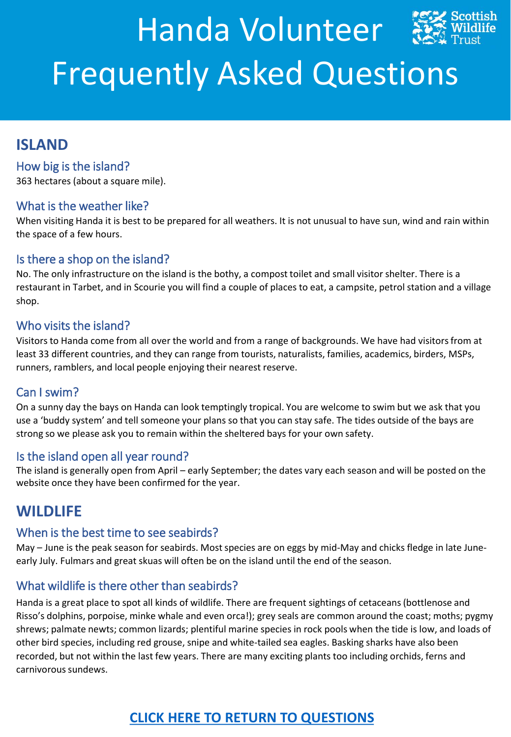## <span id="page-3-0"></span>**ISLAND**

## How big is the island?

363 hectares (about a square mile).

#### What is the weather like?

When visiting Handa it is best to be prepared for all weathers. It is not unusual to have sun, wind and rain within the space of a few hours.

#### Is there a shop on the island?

No. The only infrastructure on the island is the bothy, a compost toilet and small visitor shelter. There is a restaurant in Tarbet, and in Scourie you will find a couple of places to eat, a campsite, petrol station and a village shop.

#### Who visits the island?

Visitors to Handa come from all over the world and from a range of backgrounds. We have had visitors from at least 33 different countries, and they can range from tourists, naturalists, families, academics, birders, MSPs, runners, ramblers, and local people enjoying their nearest reserve.

## Can I swim?

On a sunny day the bays on Handa can look temptingly tropical. You are welcome to swim but we ask that you use a 'buddy system' and tell someone your plans so that you can stay safe. The tides outside of the bays are strong so we please ask you to remain within the sheltered bays for your own safety.

#### Is the island open all year round?

The island is generally open from April – early September; the dates vary each season and will be posted on the website once they have been confirmed for the year.

## **WILDLIFE**

#### When is the best time to see seabirds?

May – June is the peak season for seabirds. Most species are on eggs by mid-May and chicks fledge in late Juneearly July. Fulmars and great skuas will often be on the island until the end of the season.

## What wildlife is there other than seabirds?

Handa is a great place to spot all kinds of wildlife. There are frequent sightings of cetaceans (bottlenose and Risso's dolphins, porpoise, minke whale and even orca!); grey seals are common around the coast; moths; pygmy shrews; palmate newts; common lizards; plentiful marine species in rock pools when the tide is low, and loads of other bird species, including red grouse, snipe and white-tailed sea eagles. Basking sharks have also been recorded, but not within the last few years. There are many exciting plants too including orchids, ferns and carnivorous sundews.